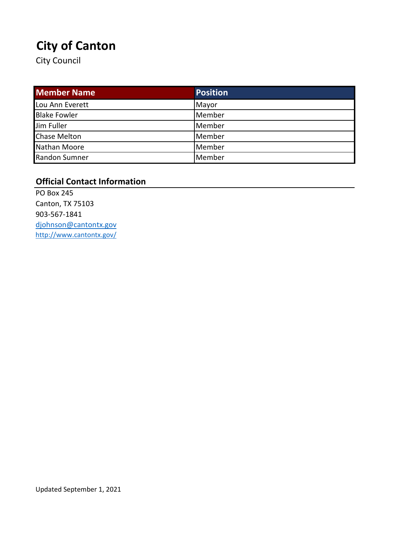# **City of Canton**

City Council

| <b>Member Name</b>  | <b>Position</b> |
|---------------------|-----------------|
| Lou Ann Everett     | Mayor           |
| <b>Blake Fowler</b> | Member          |
| Jim Fuller          | Member          |
| <b>Chase Melton</b> | Member          |
| Nathan Moore        | Member          |
| Randon Sumner       | Member          |

### **Official Contact Information**

PO Box 245 Canton, TX 75103 903-567-1841 djohnson@cantontx.gov <http://www.cantontx.gov/>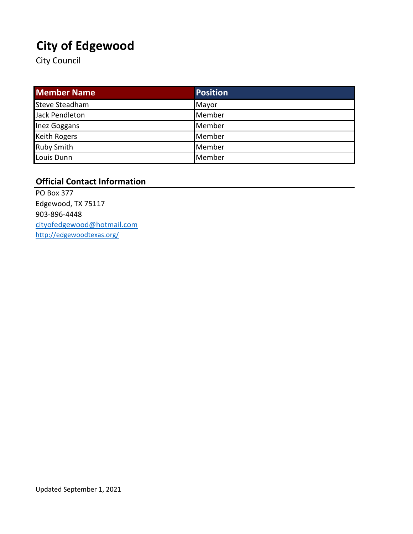# **City of Edgewood**

City Council

| <b>Member Name</b>    | <b>Position</b> |
|-----------------------|-----------------|
| <b>Steve Steadham</b> | Mayor           |
| Jack Pendleton        | Member          |
| Inez Goggans          | Member          |
| <b>Keith Rogers</b>   | Member          |
| <b>Ruby Smith</b>     | Member          |
| Louis Dunn            | Member          |

#### **Official Contact Information**

PO Box 377 Edgewood, TX 75117 903-896-4448 cityofedgewood@hotmail.com <http://edgewoodtexas.org/>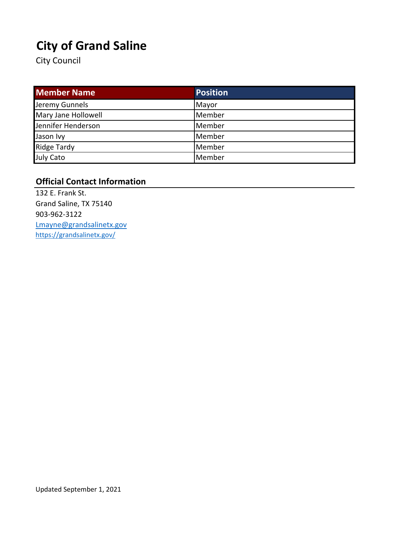# **City of Grand Saline**

City Council

| <b>Member Name</b>  | <b>Position</b> |
|---------------------|-----------------|
| Jeremy Gunnels      | Mayor           |
| Mary Jane Hollowell | Member          |
| Jennifer Henderson  | Member          |
| Jason Ivy           | Member          |
| <b>Ridge Tardy</b>  | Member          |
| July Cato           | Member          |

#### **Official Contact Information**

132 E. Frank St. Grand Saline, TX 75140 903-962-3122 Lmayne@grandsalinetx.gov <https://grandsalinetx.gov/>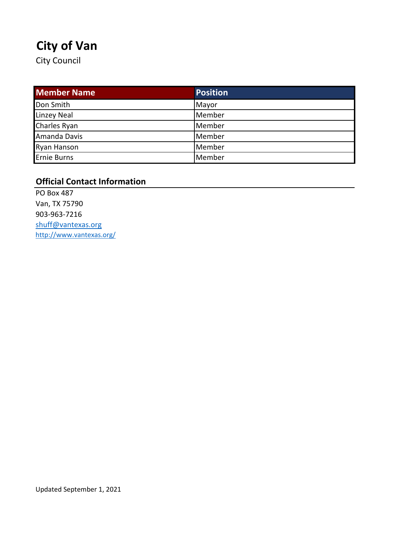# **City of Van**

City Council

| <b>Member Name</b> | Position |
|--------------------|----------|
| Don Smith          | Mayor    |
| Linzey Neal        | Member   |
| Charles Ryan       | Member   |
| Amanda Davis       | Member   |
| Ryan Hanson        | Member   |
| <b>Ernie Burns</b> | Member   |

### **Official Contact Information**

PO Box 487 Van, TX 75790 903-963-7216 shuff@vantexas.org <http://www.vantexas.org/>